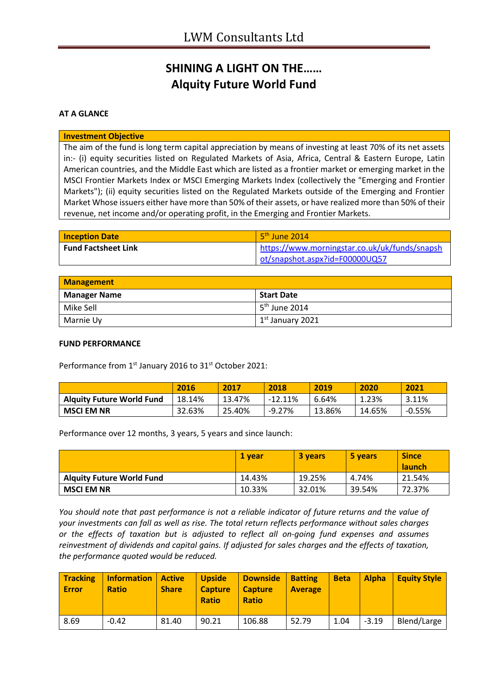# **SHINING A LIGHT ON THE…… Alquity Future World Fund**

### **AT A GLANCE**

#### **Investment Objective**

The aim of the fund is long term capital appreciation by means of investing at least 70% of its net assets in:- (i) equity securities listed on Regulated Markets of Asia, Africa, Central & Eastern Europe, Latin American countries, and the Middle East which are listed as a frontier market or emerging market in the MSCI Frontier Markets Index or MSCI Emerging Markets Index (collectively the "Emerging and Frontier Markets"); (ii) equity securities listed on the Regulated Markets outside of the Emerging and Frontier Market Whose issuers either have more than 50% of their assets, or have realized more than 50% of their revenue, net income and/or operating profit, in the Emerging and Frontier Markets.

| <b>Inception Date</b>      | $5th$ June 2014                               |
|----------------------------|-----------------------------------------------|
| <b>Fund Factsheet Link</b> | https://www.morningstar.co.uk/uk/funds/snapsh |
|                            | ot/snapshot.aspx?id=F00000UQ57                |

| Management          |                    |  |
|---------------------|--------------------|--|
| <b>Manager Name</b> | <b>Start Date</b>  |  |
| Mike Sell           | $5th$ June 2014    |  |
| Marnie Uy           | $1st$ January 2021 |  |

#### **FUND PERFORMANCE**

Performance from 1<sup>st</sup> January 2016 to 31<sup>st</sup> October 2021:

|                                  | 2016   | 2017   | 2018      | 2019   | 2020   | 2021     |
|----------------------------------|--------|--------|-----------|--------|--------|----------|
| <b>Alguity Future World Fund</b> | 18.14% | 13.47% | $-12.11%$ | 6.64%  | 1.23%  | 3.11%    |
| <b>MSCI EM NR</b>                | 32.63% | 25.40% | -9.27%    | 13.86% | 14.65% | $-0.55%$ |

Performance over 12 months, 3 years, 5 years and since launch:

|                                  | 1 vear | 3 years | 5 years | <b>Since</b><br><b>launch</b> |
|----------------------------------|--------|---------|---------|-------------------------------|
| <b>Alguity Future World Fund</b> | 14.43% | 19.25%  | 4.74%   | 21.54%                        |
| <b>MSCI EM NR</b>                | 10.33% | 32.01%  | 39.54%  | 72.37%                        |

*You should note that past performance is not a reliable indicator of future returns and the value of your investments can fall as well as rise. The total return reflects performance without sales charges or the effects of taxation but is adjusted to reflect all on-going fund expenses and assumes reinvestment of dividends and capital gains. If adjusted for sales charges and the effects of taxation, the performance quoted would be reduced.*

| <b>Tracking</b><br><b>Error</b> | <b>Information</b><br><b>Ratio</b> | <b>Active</b><br><b>Share</b> | <b>Upside</b><br><b>Capture</b><br><b>Ratio</b> | <b>Downside</b><br><b>Capture</b><br><b>Ratio</b> | <b>Batting</b><br><b>Average</b> | <b>Beta</b> | Alpha   | <b>Equity Style</b> |
|---------------------------------|------------------------------------|-------------------------------|-------------------------------------------------|---------------------------------------------------|----------------------------------|-------------|---------|---------------------|
| 8.69                            | $-0.42$                            | 81.40                         | 90.21                                           | 106.88                                            | 52.79                            | 1.04        | $-3.19$ | Blend/Large         |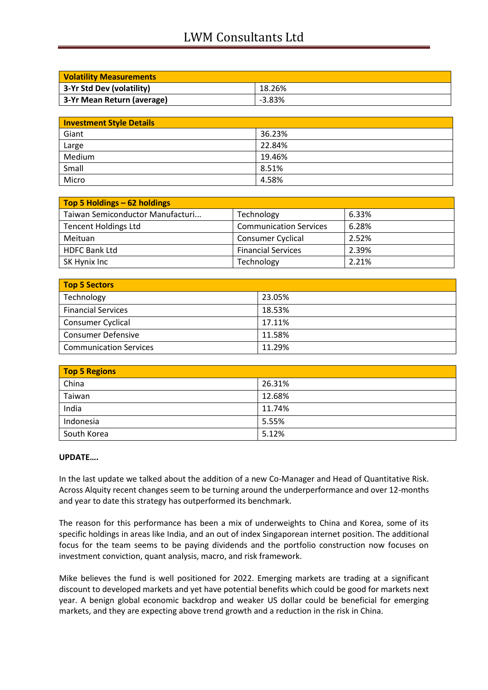# LWM Consultants Ltd

| <b>Volatility Measurements</b> |          |  |
|--------------------------------|----------|--|
| 3-Yr Std Dev (volatility)      | 18.26%   |  |
| 3-Yr Mean Return (average)     | $-3.83%$ |  |

| <b>Investment Style Details</b> |        |
|---------------------------------|--------|
| Giant                           | 36.23% |
| Large                           | 22.84% |
| Medium                          | 19.46% |
| Small                           | 8.51%  |
| Micro                           | 4.58%  |

| Top 5 Holdings - 62 holdings     |                               |       |
|----------------------------------|-------------------------------|-------|
| Taiwan Semiconductor Manufacturi | Technology                    | 6.33% |
| <b>Tencent Holdings Ltd</b>      | <b>Communication Services</b> | 6.28% |
| Meituan                          | <b>Consumer Cyclical</b>      | 2.52% |
| <b>HDFC Bank Ltd</b>             | <b>Financial Services</b>     | 2.39% |
| SK Hynix Inc                     | Technology                    | 2.21% |

| <b>Top 5 Sectors</b>          |        |
|-------------------------------|--------|
| Technology                    | 23.05% |
| <b>Financial Services</b>     | 18.53% |
| Consumer Cyclical             | 17.11% |
| <b>Consumer Defensive</b>     | 11.58% |
| <b>Communication Services</b> | 11.29% |

| <b>Top 5 Regions</b> |        |  |
|----------------------|--------|--|
| China                | 26.31% |  |
| Taiwan               | 12.68% |  |
| India                | 11.74% |  |
| Indonesia            | 5.55%  |  |
| South Korea          | 5.12%  |  |

### **UPDATE….**

In the last update we talked about the addition of a new Co-Manager and Head of Quantitative Risk. Across Alquity recent changes seem to be turning around the underperformance and over 12-months and year to date this strategy has outperformed its benchmark.

The reason for this performance has been a mix of underweights to China and Korea, some of its specific holdings in areas like India, and an out of index Singaporean internet position. The additional focus for the team seems to be paying dividends and the portfolio construction now focuses on investment conviction, quant analysis, macro, and risk framework.

Mike believes the fund is well positioned for 2022. Emerging markets are trading at a significant discount to developed markets and yet have potential benefits which could be good for markets next year. A benign global economic backdrop and weaker US dollar could be beneficial for emerging markets, and they are expecting above trend growth and a reduction in the risk in China.